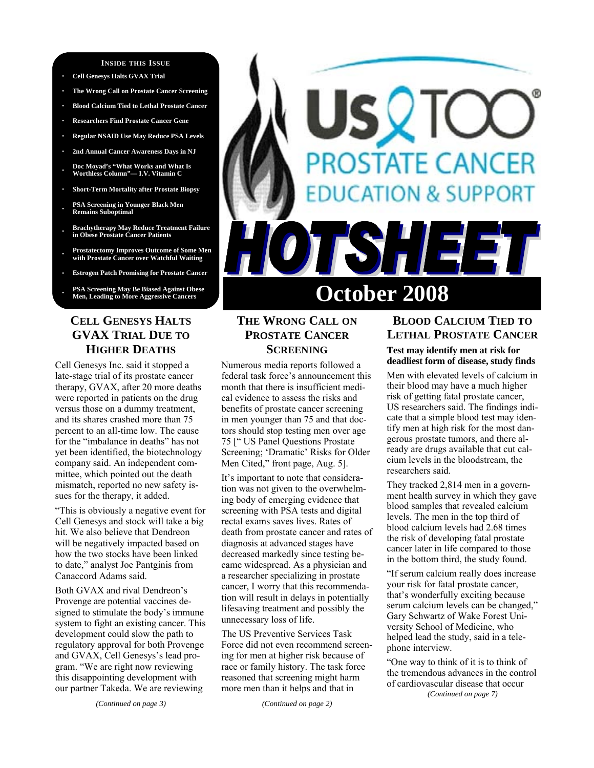#### **INSIDE THIS ISSUE**

- **· Cell Genesys Halts GVAX Trial**
- **· The Wrong Call on Prostate Cancer Screening**
- **· Blood Calcium Tied to Lethal Prostate Cancer**
- **· Researchers Find Prostate Cancer Gene**
- **· Regular NSAID Use May Reduce PSA Levels**
- **· 2nd Annual Cancer Awareness Days in NJ**
- **· Doc Moyad's "What Works and What Is Worthless Column"— I.V. Vitamin C**
- **· Short-Term Mortality after Prostate Biopsy**
- **· PSA Screening in Younger Black Men Remains Suboptimal**
- **· Brachytherapy May Reduce Treatment Failure in Obese Prostate Cancer Patients**
- **· Prostatectomy Improves Outcome of Some Men with Prostate Cancer over Watchful Waiting**
- **· Estrogen Patch Promising for Prostate Cancer**
- **· PSA Screening May Be Biased Against Obese**

# **CELL GENESYS HALTS GVAX TRIAL DUE TO HIGHER DEATHS**

Cell Genesys Inc. said it stopped a late-stage trial of its prostate cancer therapy, GVAX, after 20 more deaths were reported in patients on the drug versus those on a dummy treatment, and its shares crashed more than 75 percent to an all-time low. The cause for the "imbalance in deaths" has not yet been identified, the biotechnology company said. An independent committee, which pointed out the death mismatch, reported no new safety issues for the therapy, it added.

"This is obviously a negative event for Cell Genesys and stock will take a big hit. We also believe that Dendreon will be negatively impacted based on how the two stocks have been linked to date," analyst Joe Pantginis from Canaccord Adams said.

Both GVAX and rival Dendreon's Provenge are potential vaccines designed to stimulate the body's immune system to fight an existing cancer. This development could slow the path to regulatory approval for both Provenge and GVAX, Cell Genesys's lead program. "We are right now reviewing this disappointing development with our partner Takeda. We are reviewing

#### *(Continued on page 3)*

# **STATE CANCER** DN & SUPPORT **October 2008**

# **THE WRONG CALL ON PROSTATE CANCER SCREENING**

Numerous media reports followed a federal task force's announcement this month that there is insufficient medical evidence to assess the risks and benefits of prostate cancer screening in men younger than 75 and that doctors should stop testing men over age 75 [" US Panel Questions Prostate Screening; 'Dramatic' Risks for Older Men Cited," front page, Aug. 5].

It's important to note that consideration was not given to the overwhelming body of emerging evidence that screening with PSA tests and digital rectal exams saves lives. Rates of death from prostate cancer and rates of diagnosis at advanced stages have decreased markedly since testing became widespread. As a physician and a researcher specializing in prostate cancer, I worry that this recommendation will result in delays in potentially lifesaving treatment and possibly the unnecessary loss of life.

The US Preventive Services Task Force did not even recommend screening for men at higher risk because of race or family history. The task force reasoned that screening might harm more men than it helps and that in

*(Continued on page 2)* 

## **BLOOD CALCIUM TIED TO LETHAL PROSTATE CANCER Test may identify men at risk for deadliest form of disease, study finds**

Men with elevated levels of calcium in their blood may have a much higher risk of getting fatal prostate cancer, US researchers said. The findings indicate that a simple blood test may identify men at high risk for the most dangerous prostate tumors, and there already are drugs available that cut calcium levels in the bloodstream, the researchers said.

They tracked 2,814 men in a government health survey in which they gave blood samples that revealed calcium levels. The men in the top third of blood calcium levels had 2.68 times the risk of developing fatal prostate cancer later in life compared to those in the bottom third, the study found.

"If serum calcium really does increase your risk for fatal prostate cancer, that's wonderfully exciting because serum calcium levels can be changed," Gary Schwartz of Wake Forest University School of Medicine, who helped lead the study, said in a telephone interview.

"One way to think of it is to think of the tremendous advances in the control of cardiovascular disease that occur *(Continued on page 7)*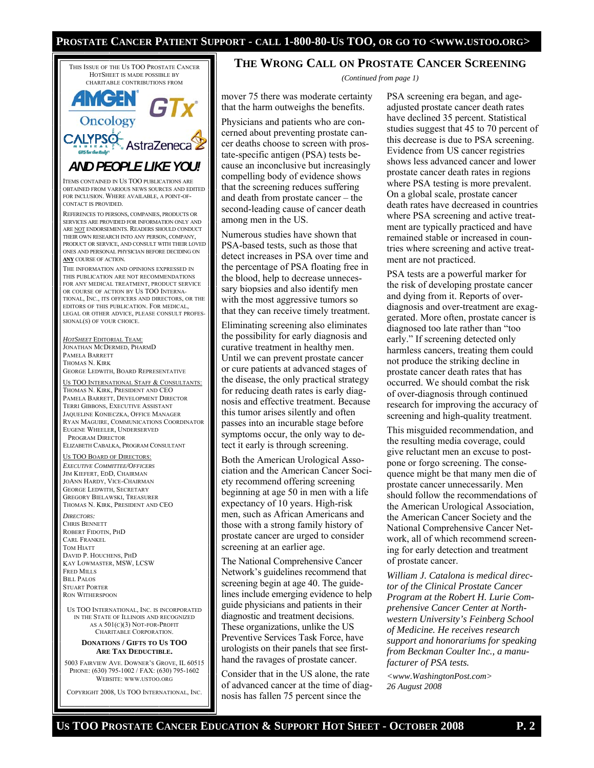#### **PROSTATE CANCER PATIENT SUPPORT - CALL 1-800-80-US TOO, OR GO TO <WWW.USTOO.ORG>**



RON WITHERSPOON US TOO INTERNATIONAL, INC. IS INCORPORATED IN THE STATE OF ILLINOIS AND RECOGNIZED AS A  $501(C)(3)$  NOT-FOR-PROFIT

#### CHARITABLE CORPORATION. **DONATIONS / GIFTS TO US TOO ARE TAX DEDUCTIBLE.**

5003 FAIRVIEW AVE. DOWNER'S GROVE, IL 60515 PHONE: (630) 795-1002 / FAX: (630) 795-1602 WEBSITE: WWW.USTOO.ORG

COPYRIGHT 2008, US TOO INTERNATIONAL, INC.

#### **THE WRONG CALL ON PROSTATE CANCER SCREENING**

*(Continued from page 1)* 

mover 75 there was moderate certainty that the harm outweighs the benefits.

Physicians and patients who are concerned about preventing prostate cancer deaths choose to screen with prostate-specific antigen (PSA) tests because an inconclusive but increasingly compelling body of evidence shows that the screening reduces suffering and death from prostate cancer – the second-leading cause of cancer death among men in the US.

Numerous studies have shown that PSA-based tests, such as those that detect increases in PSA over time and the percentage of PSA floating free in the blood, help to decrease unnecessary biopsies and also identify men with the most aggressive tumors so that they can receive timely treatment.

Eliminating screening also eliminates the possibility for early diagnosis and curative treatment in healthy men. Until we can prevent prostate cancer or cure patients at advanced stages of the disease, the only practical strategy for reducing death rates is early diagnosis and effective treatment. Because this tumor arises silently and often passes into an incurable stage before symptoms occur, the only way to detect it early is through screening.

Both the American Urological Association and the American Cancer Society recommend offering screening beginning at age 50 in men with a life expectancy of 10 years. High-risk men, such as African Americans and those with a strong family history of prostate cancer are urged to consider screening at an earlier age.

The National Comprehensive Cancer Network's guidelines recommend that screening begin at age 40. The guidelines include emerging evidence to help guide physicians and patients in their diagnostic and treatment decisions. These organizations, unlike the US Preventive Services Task Force, have urologists on their panels that see firsthand the ravages of prostate cancer.

Consider that in the US alone, the rate of advanced cancer at the time of diagnosis has fallen 75 percent since the

PSA screening era began, and ageadjusted prostate cancer death rates have declined 35 percent. Statistical studies suggest that 45 to 70 percent of this decrease is due to PSA screening. Evidence from US cancer registries shows less advanced cancer and lower prostate cancer death rates in regions where PSA testing is more prevalent. On a global scale, prostate cancer death rates have decreased in countries where PSA screening and active treatment are typically practiced and have remained stable or increased in countries where screening and active treatment are not practiced.

PSA tests are a powerful marker for the risk of developing prostate cancer and dying from it. Reports of overdiagnosis and over-treatment are exaggerated. More often, prostate cancer is diagnosed too late rather than "too early." If screening detected only harmless cancers, treating them could not produce the striking decline in prostate cancer death rates that has occurred. We should combat the risk of over-diagnosis through continued research for improving the accuracy of screening and high-quality treatment.

This misguided recommendation, and the resulting media coverage, could give reluctant men an excuse to postpone or forgo screening. The consequence might be that many men die of prostate cancer unnecessarily. Men should follow the recommendations of the American Urological Association, the American Cancer Society and the National Comprehensive Cancer Network, all of which recommend screening for early detection and treatment of prostate cancer.

*William J. Catalona is medical director of the Clinical Prostate Cancer Program at the Robert H. Lurie Comprehensive Cancer Center at Northwestern University's Feinberg School of Medicine. He receives research support and honorariums for speaking from Beckman Coulter Inc., a manufacturer of PSA tests.*

*<www.WashingtonPost.com> 26 August 2008*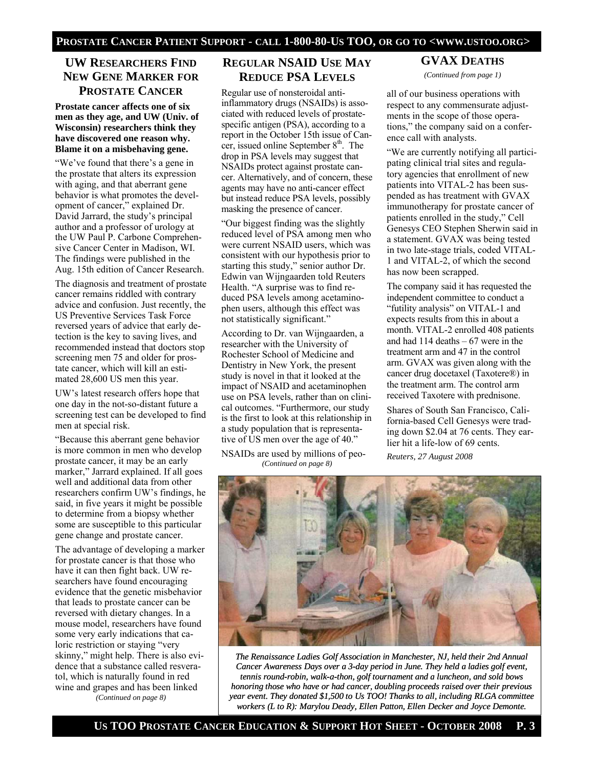## **UW RESEARCHERS FIND NEW GENE MARKER FOR PROSTATE CANCER**

#### **Prostate cancer affects one of six men as they age, and UW (Univ. of Wisconsin) researchers think they have discovered one reason why. Blame it on a misbehaving gene.**

"We've found that there's a gene in the prostate that alters its expression with aging, and that aberrant gene behavior is what promotes the development of cancer," explained Dr. David Jarrard, the study's principal author and a professor of urology at the UW Paul P. Carbone Comprehensive Cancer Center in Madison, WI. The findings were published in the Aug. 15th edition of Cancer Research.

The diagnosis and treatment of prostate cancer remains riddled with contrary advice and confusion. Just recently, the US Preventive Services Task Force reversed years of advice that early detection is the key to saving lives, and recommended instead that doctors stop screening men 75 and older for prostate cancer, which will kill an estimated 28,600 US men this year.

UW's latest research offers hope that one day in the not-so-distant future a screening test can be developed to find men at special risk.

"Because this aberrant gene behavior is more common in men who develop prostate cancer, it may be an early marker," Jarrard explained. If all goes well and additional data from other researchers confirm UW's findings, he said, in five years it might be possible to determine from a biopsy whether some are susceptible to this particular gene change and prostate cancer.

The advantage of developing a marker for prostate cancer is that those who have it can then fight back. UW researchers have found encouraging evidence that the genetic misbehavior that leads to prostate cancer can be reversed with dietary changes. In a mouse model, researchers have found some very early indications that caloric restriction or staying "very skinny," might help. There is also evidence that a substance called resveratol, which is naturally found in red wine and grapes and has been linked *(Continued on page 8)* 

**REGULAR NSAID USE MAY REDUCE PSA LEVELS**

Regular use of nonsteroidal antiinflammatory drugs (NSAIDs) is associated with reduced levels of prostatespecific antigen (PSA), according to a report in the October 15th issue of Cancer, issued online September 8<sup>th</sup>. The drop in PSA levels may suggest that NSAIDs protect against prostate cancer. Alternatively, and of concern, these agents may have no anti-cancer effect but instead reduce PSA levels, possibly masking the presence of cancer.

"Our biggest finding was the slightly reduced level of PSA among men who were current NSAID users, which was consistent with our hypothesis prior to starting this study," senior author Dr. Edwin van Wijngaarden told Reuters Health. "A surprise was to find reduced PSA levels among acetaminophen users, although this effect was not statistically significant."

According to Dr. van Wijngaarden, a researcher with the University of Rochester School of Medicine and Dentistry in New York, the present study is novel in that it looked at the impact of NSAID and acetaminophen use on PSA levels, rather than on clinical outcomes. "Furthermore, our study is the first to look at this relationship in a study population that is representative of US men over the age of 40."

NSAIDs are used by millions of peo- *(Continued on page 8)* 

## **GVAX DEATHS**

*(Continued from page 1)* 

all of our business operations with respect to any commensurate adjustments in the scope of those operations," the company said on a conference call with analysts.

"We are currently notifying all participating clinical trial sites and regulatory agencies that enrollment of new patients into VITAL-2 has been suspended as has treatment with GVAX immunotherapy for prostate cancer of patients enrolled in the study," Cell Genesys CEO Stephen Sherwin said in a statement. GVAX was being tested in two late-stage trials, coded VITAL-1 and VITAL-2, of which the second has now been scrapped.

The company said it has requested the independent committee to conduct a "futility analysis" on VITAL-1 and expects results from this in about a month. VITAL-2 enrolled 408 patients and had 114 deaths – 67 were in the treatment arm and 47 in the control arm. GVAX was given along with the cancer drug docetaxel (Taxotere®) in the treatment arm. The control arm received Taxotere with prednisone.

Shares of South San Francisco, California-based Cell Genesys were trading down \$2.04 at 76 cents. They earlier hit a life-low of 69 cents.

*Reuters, 27 August 2008* 



*The Renaissance Ladies Golf Association in Manchester, NJ, held their 2nd Annual Cancer Awareness Days over a 3-day period in June. They held a ladies golf event, tennis round-robin, walk-a-thon, golf tournament and a luncheon, and sold bows honoring those who have or had cancer, doubling proceeds raised over their previous year event. They donated \$1,500 to Us TOO! Thanks to all, including RLGA committee workers (L to R): Marylou Deady, Ellen Patton, Ellen Decker and Joyce Demonte.*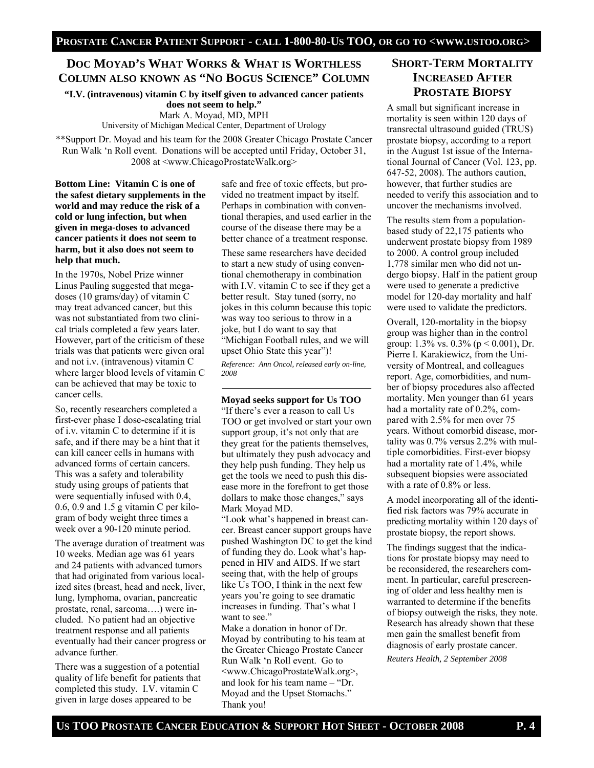# **DOC MOYAD'S WHAT WORKS & WHAT IS WORTHLESS COLUMN ALSO KNOWN AS "NO BOGUS SCIENCE" COLUMN**

**"I.V. (intravenous) vitamin C by itself given to advanced cancer patients does not seem to help."** Mark A. Moyad, MD, MPH

University of Michigan Medical Center, Department of Urology

\*\*Support Dr. Moyad and his team for the 2008 Greater Chicago Prostate Cancer Run Walk 'n Roll event. Donations will be accepted until Friday, October 31, 2008 at <www.ChicagoProstateWalk.org>

**Bottom Line: Vitamin C is one of the safest dietary supplements in the world and may reduce the risk of a cold or lung infection, but when given in mega-doses to advanced cancer patients it does not seem to harm, but it also does not seem to help that much.**

In the 1970s, Nobel Prize winner Linus Pauling suggested that megadoses (10 grams/day) of vitamin C may treat advanced cancer, but this was not substantiated from two clinical trials completed a few years later. However, part of the criticism of these trials was that patients were given oral and not i.v. (intravenous) vitamin C where larger blood levels of vitamin C can be achieved that may be toxic to cancer cells.

So, recently researchers completed a first-ever phase I dose-escalating trial of i.v. vitamin C to determine if it is safe, and if there may be a hint that it can kill cancer cells in humans with advanced forms of certain cancers. This was a safety and tolerability study using groups of patients that were sequentially infused with 0.4, 0.6, 0.9 and 1.5 g vitamin C per kilogram of body weight three times a week over a 90-120 minute period.

The average duration of treatment was 10 weeks. Median age was 61 years and 24 patients with advanced tumors that had originated from various localized sites (breast, head and neck, liver, lung, lymphoma, ovarian, pancreatic prostate, renal, sarcoma….) were included. No patient had an objective treatment response and all patients eventually had their cancer progress or advance further.

There was a suggestion of a potential quality of life benefit for patients that completed this study. I.V. vitamin C given in large doses appeared to be

safe and free of toxic effects, but provided no treatment impact by itself. Perhaps in combination with conventional therapies, and used earlier in the course of the disease there may be a better chance of a treatment response.

These same researchers have decided to start a new study of using conventional chemotherapy in combination with I.V. vitamin C to see if they get a better result. Stay tuned (sorry, no jokes in this column because this topic was way too serious to throw in a joke, but I do want to say that "Michigan Football rules, and we will upset Ohio State this year")!

*Reference: Ann Oncol, released early on-line, 2008* 

**Moyad seeks support for Us TOO**

"If there's ever a reason to call Us TOO or get involved or start your own support group, it's not only that are they great for the patients themselves, but ultimately they push advocacy and they help push funding. They help us get the tools we need to push this disease more in the forefront to get those dollars to make those changes," says Mark Moyad MD.

"Look what's happened in breast cancer. Breast cancer support groups have pushed Washington DC to get the kind of funding they do. Look what's happened in HIV and AIDS. If we start seeing that, with the help of groups like Us TOO, I think in the next few years you're going to see dramatic increases in funding. That's what I want to see."

Make a donation in honor of Dr. Moyad by contributing to his team at the Greater Chicago Prostate Cancer Run Walk 'n Roll event. Go to <www.ChicagoProstateWalk.org>, and look for his team name – "Dr. Moyad and the Upset Stomachs." Thank you!

# **SHORT-TERM MORTALITY INCREASED AFTER PROSTATE BIOPSY**

A small but significant increase in mortality is seen within 120 days of transrectal ultrasound guided (TRUS) prostate biopsy, according to a report in the August 1st issue of the International Journal of Cancer (Vol. 123, pp. 647-52, 2008). The authors caution, however, that further studies are needed to verify this association and to uncover the mechanisms involved.

The results stem from a populationbased study of 22,175 patients who underwent prostate biopsy from 1989 to 2000. A control group included 1,778 similar men who did not undergo biopsy. Half in the patient group were used to generate a predictive model for 120-day mortality and half were used to validate the predictors.

Overall, 120-mortality in the biopsy group was higher than in the control group:  $1.3\%$  vs.  $0.3\%$  (p < 0.001), Dr. Pierre I. Karakiewicz, from the University of Montreal, and colleagues report. Age, comorbidities, and number of biopsy procedures also affected mortality. Men younger than 61 years had a mortality rate of 0.2%, compared with 2.5% for men over 75 years. Without comorbid disease, mortality was 0.7% versus 2.2% with multiple comorbidities. First-ever biopsy had a mortality rate of 1.4%, while subsequent biopsies were associated with a rate of 0.8% or less.

A model incorporating all of the identified risk factors was 79% accurate in predicting mortality within 120 days of prostate biopsy, the report shows.

The findings suggest that the indications for prostate biopsy may need to be reconsidered, the researchers comment. In particular, careful prescreening of older and less healthy men is warranted to determine if the benefits of biopsy outweigh the risks, they note. Research has already shown that these men gain the smallest benefit from diagnosis of early prostate cancer. *Reuters Health, 2 September 2008*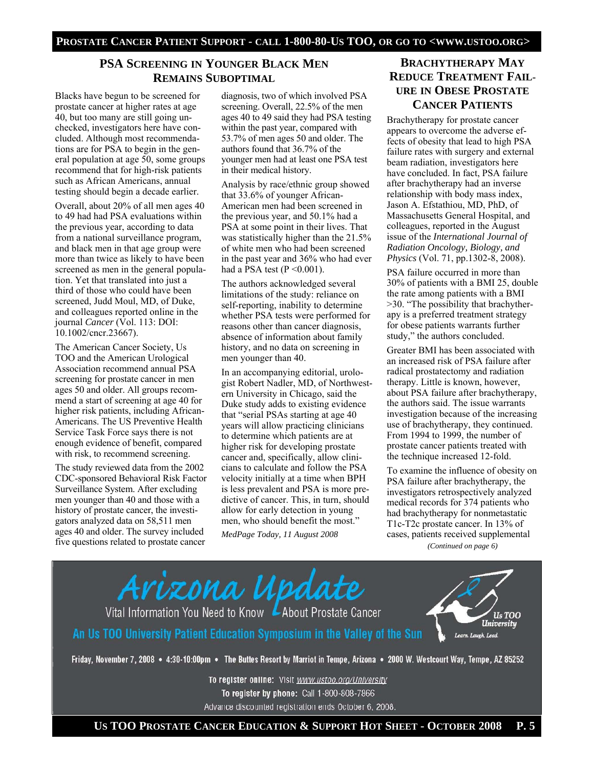## **PSA SCREENING IN YOUNGER BLACK MEN REMAINS SUBOPTIMAL**

Blacks have begun to be screened for prostate cancer at higher rates at age 40, but too many are still going unchecked, investigators here have concluded. Although most recommendations are for PSA to begin in the general population at age 50, some groups recommend that for high-risk patients such as African Americans, annual testing should begin a decade earlier.

Overall, about 20% of all men ages 40 to 49 had had PSA evaluations within the previous year, according to data from a national surveillance program, and black men in that age group were more than twice as likely to have been screened as men in the general population. Yet that translated into just a third of those who could have been screened, Judd Moul, MD, of Duke, and colleagues reported online in the journal *Cancer* (Vol. 113: DOI: 10.1002/cncr.23667).

The American Cancer Society, Us TOO and the American Urological Association recommend annual PSA screening for prostate cancer in men ages 50 and older. All groups recommend a start of screening at age 40 for higher risk patients, including African-Americans. The US Preventive Health Service Task Force says there is not enough evidence of benefit, compared with risk, to recommend screening.

The study reviewed data from the 2002 CDC-sponsored Behavioral Risk Factor Surveillance System. After excluding men younger than 40 and those with a history of prostate cancer, the investigators analyzed data on 58,511 men ages 40 and older. The survey included five questions related to prostate cancer

diagnosis, two of which involved PSA screening. Overall, 22.5% of the men ages 40 to 49 said they had PSA testing within the past year, compared with 53.7% of men ages 50 and older. The authors found that 36.7% of the younger men had at least one PSA test in their medical history.

Analysis by race/ethnic group showed that 33.6% of younger African-American men had been screened in the previous year, and 50.1% had a PSA at some point in their lives. That was statistically higher than the 21.5% of white men who had been screened in the past year and 36% who had ever had a PSA test  $(P \le 0.001)$ .

The authors acknowledged several limitations of the study: reliance on self-reporting, inability to determine whether PSA tests were performed for reasons other than cancer diagnosis, absence of information about family history, and no data on screening in men younger than 40.

In an accompanying editorial, urologist Robert Nadler, MD, of Northwestern University in Chicago, said the Duke study adds to existing evidence that "serial PSAs starting at age 40 years will allow practicing clinicians to determine which patients are at higher risk for developing prostate cancer and, specifically, allow clinicians to calculate and follow the PSA velocity initially at a time when BPH is less prevalent and PSA is more predictive of cancer. This, in turn, should allow for early detection in young men, who should benefit the most." *MedPage Today, 11 August 2008*

# **BRACHYTHERAPY MAY REDUCE TREATMENT FAIL-URE IN OBESE PROSTATE CANCER PATIENTS**

Brachytherapy for prostate cancer appears to overcome the adverse effects of obesity that lead to high PSA failure rates with surgery and external beam radiation, investigators here have concluded. In fact, PSA failure after brachytherapy had an inverse relationship with body mass index, Jason A. Efstathiou, MD, PhD, of Massachusetts General Hospital, and colleagues, reported in the August issue of the *International Journal of Radiation Oncology, Biology, and Physics* (Vol. 71, pp.1302-8, 2008).

PSA failure occurred in more than 30% of patients with a BMI 25, double the rate among patients with a BMI >30. "The possibility that brachytherapy is a preferred treatment strategy for obese patients warrants further study," the authors concluded.

Greater BMI has been associated with an increased risk of PSA failure after radical prostatectomy and radiation therapy. Little is known, however, about PSA failure after brachytherapy, the authors said. The issue warrants investigation because of the increasing use of brachytherapy, they continued. From 1994 to 1999, the number of prostate cancer patients treated with the technique increased 12-fold.

To examine the influence of obesity on PSA failure after brachytherapy, the investigators retrospectively analyzed medical records for 374 patients who had brachytherapy for nonmetastatic T1c-T2c prostate cancer. In 13% of cases, patients received supplemental *(Continued on page 6)* 

Arizona Update Vital Information You Need to Know LAbout Prostate Cancer Us TOO University An Us TOO University Patient Education Symposium in the Valley of the Sun Learn. Laugh. Lead. Friday, November 7, 2008 • 4:30-10:00pm • The Buttes Resort by Marriot in Tempe, Arizona • 2000 W. Westcourt Way, Tempe, AZ 85252

To register online: Visit www.ustoo.org/University To register by phone: Call 1-800-808-7866 Advance discounted registration ends October 6, 2008.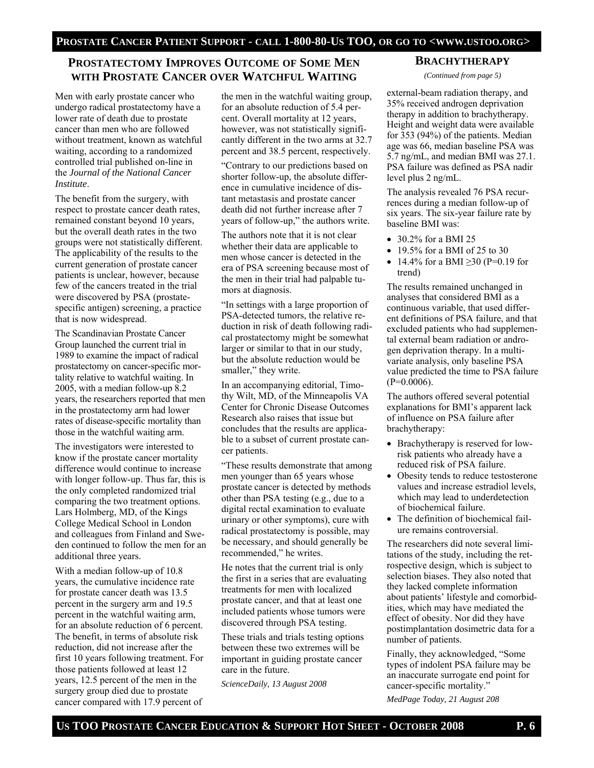## **PROSTATECTOMY IMPROVES OUTCOME OF SOME MEN WITH PROSTATE CANCER OVER WATCHFUL WAITING**

Men with early prostate cancer who undergo radical prostatectomy have a lower rate of death due to prostate cancer than men who are followed without treatment, known as watchful waiting, according to a randomized controlled trial published on-line in the *Journal of the National Cancer Institute*.

The benefit from the surgery, with respect to prostate cancer death rates, remained constant beyond 10 years, but the overall death rates in the two groups were not statistically different. The applicability of the results to the current generation of prostate cancer patients is unclear, however, because few of the cancers treated in the trial were discovered by PSA (prostatespecific antigen) screening, a practice that is now widespread.

The Scandinavian Prostate Cancer Group launched the current trial in 1989 to examine the impact of radical prostatectomy on cancer-specific mortality relative to watchful waiting. In 2005, with a median follow-up 8.2 years, the researchers reported that men in the prostatectomy arm had lower rates of disease-specific mortality than those in the watchful waiting arm.

The investigators were interested to know if the prostate cancer mortality difference would continue to increase with longer follow-up. Thus far, this is the only completed randomized trial comparing the two treatment options. Lars Holmberg, MD, of the Kings College Medical School in London and colleagues from Finland and Sweden continued to follow the men for an additional three years.

With a median follow-up of 10.8 years, the cumulative incidence rate for prostate cancer death was 13.5 percent in the surgery arm and 19.5 percent in the watchful waiting arm, for an absolute reduction of 6 percent. The benefit, in terms of absolute risk reduction, did not increase after the first 10 years following treatment. For those patients followed at least 12 years, 12.5 percent of the men in the surgery group died due to prostate cancer compared with 17.9 percent of

the men in the watchful waiting group, for an absolute reduction of 5.4 percent. Overall mortality at 12 years, however, was not statistically significantly different in the two arms at 32.7 percent and 38.5 percent, respectively.

"Contrary to our predictions based on shorter follow-up, the absolute difference in cumulative incidence of distant metastasis and prostate cancer death did not further increase after 7 years of follow-up," the authors write.

The authors note that it is not clear whether their data are applicable to men whose cancer is detected in the era of PSA screening because most of the men in their trial had palpable tumors at diagnosis.

"In settings with a large proportion of PSA-detected tumors, the relative reduction in risk of death following radical prostatectomy might be somewhat larger or similar to that in our study, but the absolute reduction would be smaller," they write.

In an accompanying editorial, Timothy Wilt, MD, of the Minneapolis VA Center for Chronic Disease Outcomes Research also raises that issue but concludes that the results are applicable to a subset of current prostate cancer patients.

"These results demonstrate that among men younger than 65 years whose prostate cancer is detected by methods other than PSA testing (e.g., due to a digital rectal examination to evaluate urinary or other symptoms), cure with radical prostatectomy is possible, may be necessary, and should generally be recommended," he writes.

He notes that the current trial is only the first in a series that are evaluating treatments for men with localized prostate cancer, and that at least one included patients whose tumors were discovered through PSA testing.

These trials and trials testing options between these two extremes will be important in guiding prostate cancer care in the future.

*ScienceDaily, 13 August 2008* 

#### **BRACHYTHERAPY**

*(Continued from page 5)* 

external-beam radiation therapy, and 35% received androgen deprivation therapy in addition to brachytherapy. Height and weight data were available for 353 (94%) of the patients. Median age was 66, median baseline PSA was 5.7 ng/mL, and median BMI was 27.1. PSA failure was defined as PSA nadir level plus 2 ng/mL.

The analysis revealed 76 PSA recurrences during a median follow-up of six years. The six-year failure rate by baseline BMI was:

- 30.2% for a BMI 25
- 19.5% for a BMI of 25 to 30
- 14.4% for a BMI  $\geq$ 30 (P=0.19 for trend)

The results remained unchanged in analyses that considered BMI as a continuous variable, that used different definitions of PSA failure, and that excluded patients who had supplemental external beam radiation or androgen deprivation therapy. In a multivariate analysis, only baseline PSA value predicted the time to PSA failure  $(P=0.0006)$ .

The authors offered several potential explanations for BMI's apparent lack of influence on PSA failure after brachytherapy:

- Brachytherapy is reserved for lowrisk patients who already have a reduced risk of PSA failure.
- Obesity tends to reduce testosterone values and increase estradiol levels, which may lead to underdetection of biochemical failure.
- The definition of biochemical failure remains controversial.

The researchers did note several limitations of the study, including the retrospective design, which is subject to selection biases. They also noted that they lacked complete information about patients' lifestyle and comorbidities, which may have mediated the effect of obesity. Nor did they have postimplantation dosimetric data for a number of patients.

Finally, they acknowledged, "Some types of indolent PSA failure may be an inaccurate surrogate end point for cancer-specific mortality."

*MedPage Today, 21 August 208*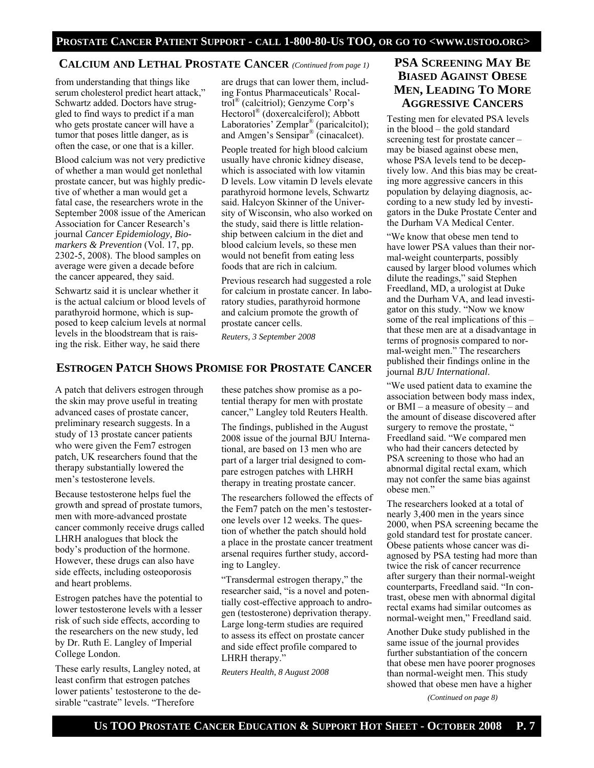### **CALCIUM AND LETHAL PROSTATE CANCER** *(Continued from page 1)*

from understanding that things like serum cholesterol predict heart attack," Schwartz added. Doctors have struggled to find ways to predict if a man who gets prostate cancer will have a tumor that poses little danger, as is often the case, or one that is a killer.

Blood calcium was not very predictive of whether a man would get nonlethal prostate cancer, but was highly predictive of whether a man would get a fatal case, the researchers wrote in the September 2008 issue of the American Association for Cancer Research's journal *Cancer Epidemiology, Biomarkers & Prevention* (Vol. 17, pp. 2302-5, 2008). The blood samples on average were given a decade before the cancer appeared, they said.

Schwartz said it is unclear whether it is the actual calcium or blood levels of parathyroid hormone, which is supposed to keep calcium levels at normal levels in the bloodstream that is raising the risk. Either way, he said there

are drugs that can lower them, including Fontus Pharmaceuticals' Rocaltrol® (calcitriol); Genzyme Corp's Hectorol® (doxercalciferol); Abbott Laboratories' Zemplar<sup>®</sup> (paricalcitol); and Amgen's Sensipar® (cinacalcet).

People treated for high blood calcium usually have chronic kidney disease, which is associated with low vitamin D levels. Low vitamin D levels elevate parathyroid hormone levels, Schwartz said. Halcyon Skinner of the University of Wisconsin, who also worked on the study, said there is little relationship between calcium in the diet and blood calcium levels, so these men would not benefit from eating less foods that are rich in calcium.

Previous research had suggested a role for calcium in prostate cancer. In laboratory studies, parathyroid hormone and calcium promote the growth of prostate cancer cells.

*Reuters, 3 September 2008* 

## **ESTROGEN PATCH SHOWS PROMISE FOR PROSTATE CANCER**

A patch that delivers estrogen through the skin may prove useful in treating advanced cases of prostate cancer, preliminary research suggests. In a study of 13 prostate cancer patients who were given the Fem7 estrogen patch, UK researchers found that the therapy substantially lowered the men's testosterone levels.

Because testosterone helps fuel the growth and spread of prostate tumors, men with more-advanced prostate cancer commonly receive drugs called LHRH analogues that block the body's production of the hormone. However, these drugs can also have side effects, including osteoporosis and heart problems.

Estrogen patches have the potential to lower testosterone levels with a lesser risk of such side effects, according to the researchers on the new study, led by Dr. Ruth E. Langley of Imperial College London.

These early results, Langley noted, at least confirm that estrogen patches lower patients' testosterone to the desirable "castrate" levels. "Therefore

these patches show promise as a potential therapy for men with prostate cancer," Langley told Reuters Health.

The findings, published in the August 2008 issue of the journal BJU International, are based on 13 men who are part of a larger trial designed to compare estrogen patches with LHRH therapy in treating prostate cancer.

The researchers followed the effects of the Fem7 patch on the men's testosterone levels over 12 weeks. The question of whether the patch should hold a place in the prostate cancer treatment arsenal requires further study, according to Langley.

"Transdermal estrogen therapy," the researcher said, "is a novel and potentially cost-effective approach to androgen (testosterone) deprivation therapy. Large long-term studies are required to assess its effect on prostate cancer and side effect profile compared to LHRH therapy."

*Reuters Health, 8 August 2008* 

# **PSA SCREENING MAY BE BIASED AGAINST OBESE MEN, LEADING TO MORE AGGRESSIVE CANCERS**

Testing men for elevated PSA levels in the blood – the gold standard screening test for prostate cancer – may be biased against obese men, whose PSA levels tend to be deceptively low. And this bias may be creating more aggressive cancers in this population by delaying diagnosis, according to a new study led by investigators in the Duke Prostate Center and the Durham VA Medical Center.

"We know that obese men tend to have lower PSA values than their normal-weight counterparts, possibly caused by larger blood volumes which dilute the readings," said Stephen Freedland, MD, a urologist at Duke and the Durham VA, and lead investigator on this study. "Now we know some of the real implications of this – that these men are at a disadvantage in terms of prognosis compared to normal-weight men." The researchers published their findings online in the journal *BJU International*.

"We used patient data to examine the association between body mass index, or BMI – a measure of obesity – and the amount of disease discovered after surgery to remove the prostate, " Freedland said. "We compared men who had their cancers detected by PSA screening to those who had an abnormal digital rectal exam, which may not confer the same bias against obese men."

The researchers looked at a total of nearly 3,400 men in the years since 2000, when PSA screening became the gold standard test for prostate cancer. Obese patients whose cancer was diagnosed by PSA testing had more than twice the risk of cancer recurrence after surgery than their normal-weight counterparts, Freedland said. "In contrast, obese men with abnormal digital rectal exams had similar outcomes as normal-weight men," Freedland said.

Another Duke study published in the same issue of the journal provides further substantiation of the concern that obese men have poorer prognoses than normal-weight men. This study showed that obese men have a higher

*(Continued on page 8)*